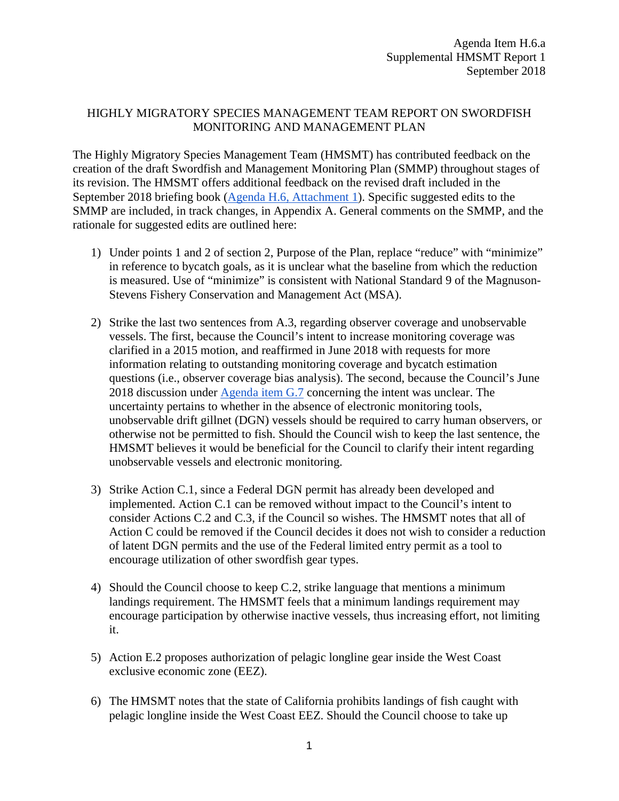## HIGHLY MIGRATORY SPECIES MANAGEMENT TEAM REPORT ON SWORDFISH MONITORING AND MANAGEMENT PLAN

The Highly Migratory Species Management Team (HMSMT) has contributed feedback on the creation of the draft Swordfish and Management Monitoring Plan (SMMP) throughout stages of its revision. The HMSMT offers additional feedback on the revised draft included in the September 2018 briefing book [\(Agenda H.6, Attachment 1\)](https://www.pcouncil.org/wp-content/uploads/2018/08/H6_Att1_Revised_SMMP_SEPT2018BB.pdf). Specific suggested edits to the SMMP are included, in track changes, in Appendix A. General comments on the SMMP, and the rationale for suggested edits are outlined here:

- 1) Under points 1 and 2 of section 2, Purpose of the Plan, replace "reduce" with "minimize" in reference to bycatch goals, as it is unclear what the baseline from which the reduction is measured. Use of "minimize" is consistent with National Standard 9 of the Magnuson-Stevens Fishery Conservation and Management Act (MSA).
- 2) Strike the last two sentences from A.3, regarding observer coverage and unobservable vessels. The first, because the Council's intent to increase monitoring coverage was clarified in a 2015 motion, and reaffirmed in June 2018 with requests for more information relating to outstanding monitoring coverage and bycatch estimation questions (i.e., observer coverage bias analysis). The second, because the Council's June 2018 discussion under [Agenda item G.7](https://www.pcouncil.org/wp-content/uploads/2018/05/G7__SitSum_SwordfishMgt_JUNE2018BB.pdf) concerning the intent was unclear. The uncertainty pertains to whether in the absence of electronic monitoring tools, unobservable drift gillnet (DGN) vessels should be required to carry human observers, or otherwise not be permitted to fish. Should the Council wish to keep the last sentence, the HMSMT believes it would be beneficial for the Council to clarify their intent regarding unobservable vessels and electronic monitoring.
- 3) Strike Action C.1, since a Federal DGN permit has already been developed and implemented. Action C.1 can be removed without impact to the Council's intent to consider Actions C.2 and C.3, if the Council so wishes. The HMSMT notes that all of Action C could be removed if the Council decides it does not wish to consider a reduction of latent DGN permits and the use of the Federal limited entry permit as a tool to encourage utilization of other swordfish gear types.
- 4) Should the Council choose to keep C.2, strike language that mentions a minimum landings requirement. The HMSMT feels that a minimum landings requirement may encourage participation by otherwise inactive vessels, thus increasing effort, not limiting it.
- 5) Action E.2 proposes authorization of pelagic longline gear inside the West Coast exclusive economic zone (EEZ).
- 6) The HMSMT notes that the state of California prohibits landings of fish caught with pelagic longline inside the West Coast EEZ. Should the Council choose to take up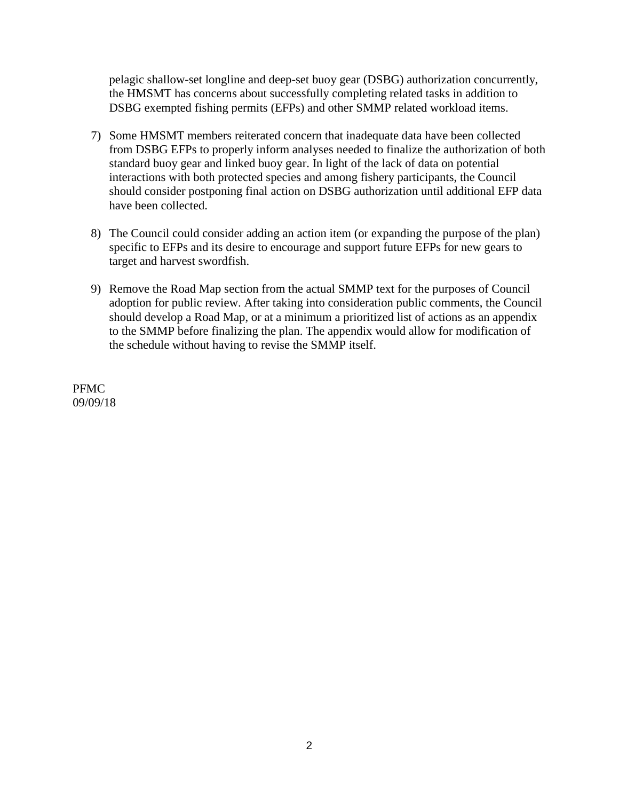pelagic shallow-set longline and deep-set buoy gear (DSBG) authorization concurrently, the HMSMT has concerns about successfully completing related tasks in addition to DSBG exempted fishing permits (EFPs) and other SMMP related workload items.

- 7) Some HMSMT members reiterated concern that inadequate data have been collected from DSBG EFPs to properly inform analyses needed to finalize the authorization of both standard buoy gear and linked buoy gear. In light of the lack of data on potential interactions with both protected species and among fishery participants, the Council should consider postponing final action on DSBG authorization until additional EFP data have been collected.
- 8) The Council could consider adding an action item (or expanding the purpose of the plan) specific to EFPs and its desire to encourage and support future EFPs for new gears to target and harvest swordfish.
- 9) Remove the Road Map section from the actual SMMP text for the purposes of Council adoption for public review. After taking into consideration public comments, the Council should develop a Road Map, or at a minimum a prioritized list of actions as an appendix to the SMMP before finalizing the plan. The appendix would allow for modification of the schedule without having to revise the SMMP itself.

PFMC 09/09/18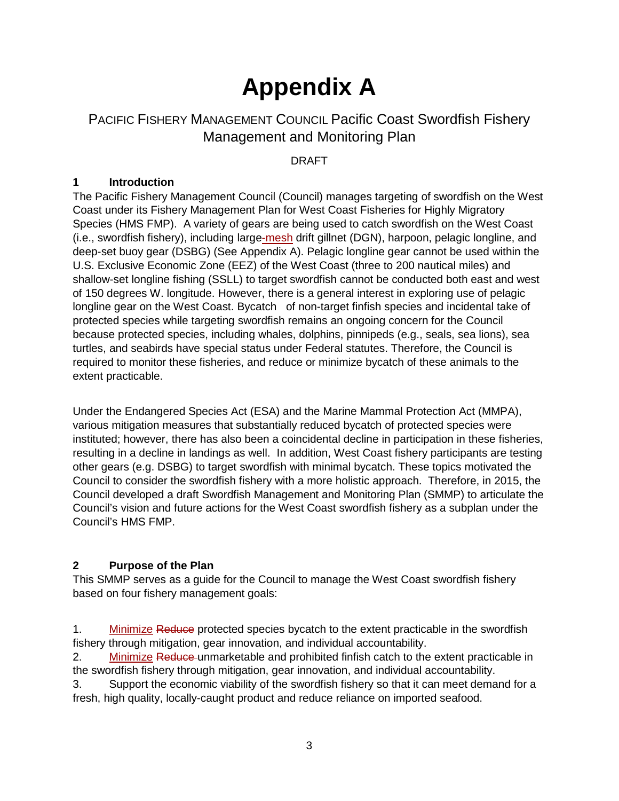# **Appendix A**

## PACIFIC FISHERY MANAGEMENT COUNCIL Pacific Coast Swordfish Fishery Management and Monitoring Plan

DRAFT

## **1 Introduction**

The Pacific Fishery Management Council (Council) manages targeting of swordfish on the West Coast under its Fishery Management Plan for West Coast Fisheries for Highly Migratory Species (HMS FMP). A variety of gears are being used to catch swordfish on the West Coast (i.e., swordfish fishery), including large-mesh drift gillnet (DGN), harpoon, pelagic longline, and deep-set buoy gear (DSBG) (See Appendix A). Pelagic longline gear cannot be used within the U.S. Exclusive Economic Zone (EEZ) of the West Coast (three to 200 nautical miles) and shallow-set longline fishing (SSLL) to target swordfish cannot be conducted both east and west of 150 degrees W. longitude. However, there is a general interest in exploring use of pelagic longline gear on the West Coast. Bycatch of non-target finfish species and incidental take of protected species while targeting swordfish remains an ongoing concern for the Council because protected species, including whales, dolphins, pinnipeds (e.g., seals, sea lions), sea turtles, and seabirds have special status under Federal statutes. Therefore, the Council is required to monitor these fisheries, and reduce or minimize bycatch of these animals to the extent practicable.

Under the Endangered Species Act (ESA) and the Marine Mammal Protection Act (MMPA), various mitigation measures that substantially reduced bycatch of protected species were instituted; however, there has also been a coincidental decline in participation in these fisheries, resulting in a decline in landings as well. In addition, West Coast fishery participants are testing other gears (e.g. DSBG) to target swordfish with minimal bycatch. These topics motivated the Council to consider the swordfish fishery with a more holistic approach. Therefore, in 2015, the Council developed a draft Swordfish Management and Monitoring Plan (SMMP) to articulate the Council's vision and future actions for the West Coast swordfish fishery as a subplan under the Council's HMS FMP.

#### **2 Purpose of the Plan**

This SMMP serves as a guide for the Council to manage the West Coast swordfish fishery based on four fishery management goals:

1. Minimize Reduce protected species bycatch to the extent practicable in the swordfish fishery through mitigation, gear innovation, and individual accountability.

2. Minimize Reduce unmarketable and prohibited finfish catch to the extent practicable in the swordfish fishery through mitigation, gear innovation, and individual accountability.

3. Support the economic viability of the swordfish fishery so that it can meet demand for a fresh, high quality, locally-caught product and reduce reliance on imported seafood.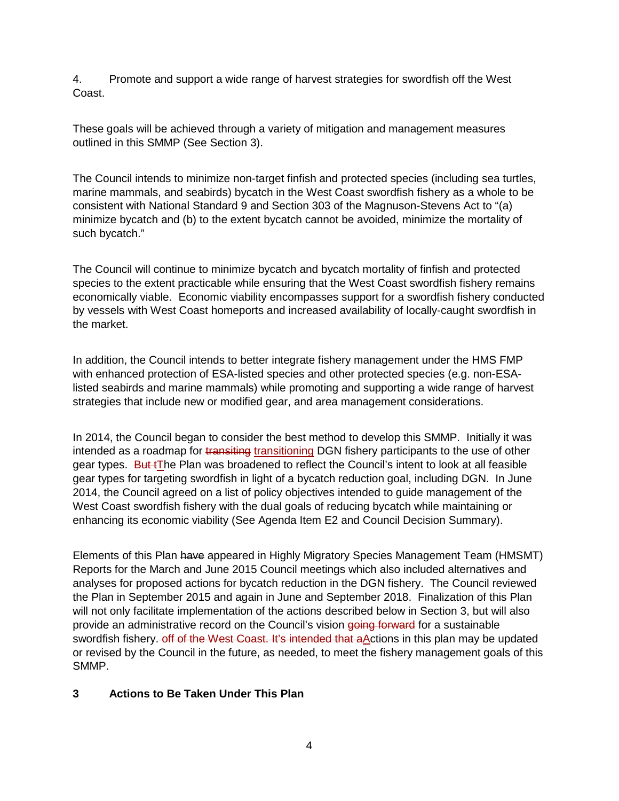4. Promote and support a wide range of harvest strategies for swordfish off the West Coast.

These goals will be achieved through a variety of mitigation and management measures outlined in this SMMP (See Section 3).

The Council intends to minimize non-target finfish and protected species (including sea turtles, marine mammals, and seabirds) bycatch in the West Coast swordfish fishery as a whole to be consistent with National Standard 9 and Section 303 of the Magnuson-Stevens Act to "(a) minimize bycatch and (b) to the extent bycatch cannot be avoided, minimize the mortality of such bycatch."

The Council will continue to minimize bycatch and bycatch mortality of finfish and protected species to the extent practicable while ensuring that the West Coast swordfish fishery remains economically viable. Economic viability encompasses support for a swordfish fishery conducted by vessels with West Coast homeports and increased availability of locally-caught swordfish in the market.

In addition, the Council intends to better integrate fishery management under the HMS FMP with enhanced protection of ESA-listed species and other protected species (e.g. non-ESAlisted seabirds and marine mammals) while promoting and supporting a wide range of harvest strategies that include new or modified gear, and area management considerations.

In 2014, the Council began to consider the best method to develop this SMMP. Initially it was intended as a roadmap for transiting transitioning DGN fishery participants to the use of other gear types. But tThe Plan was broadened to reflect the Council's intent to look at all feasible gear types for targeting swordfish in light of a bycatch reduction goal, including DGN. In June 2014, the Council agreed on a list of policy objectives intended to guide management of the West Coast swordfish fishery with the dual goals of reducing bycatch while maintaining or enhancing its economic viability (See Agenda Item E2 and Council Decision Summary).

Elements of this Plan have appeared in Highly Migratory Species Management Team (HMSMT) Reports for the March and June 2015 Council meetings which also included alternatives and analyses for proposed actions for bycatch reduction in the DGN fishery. The Council reviewed the Plan in September 2015 and again in June and September 2018. Finalization of this Plan will not only facilitate implementation of the actions described below in Section 3, but will also provide an administrative record on the Council's vision going forward for a sustainable swordfish fishery. off of the West Coast. It's intended that a Actions in this plan may be updated or revised by the Council in the future, as needed, to meet the fishery management goals of this SMMP.

#### **3 Actions to Be Taken Under This Plan**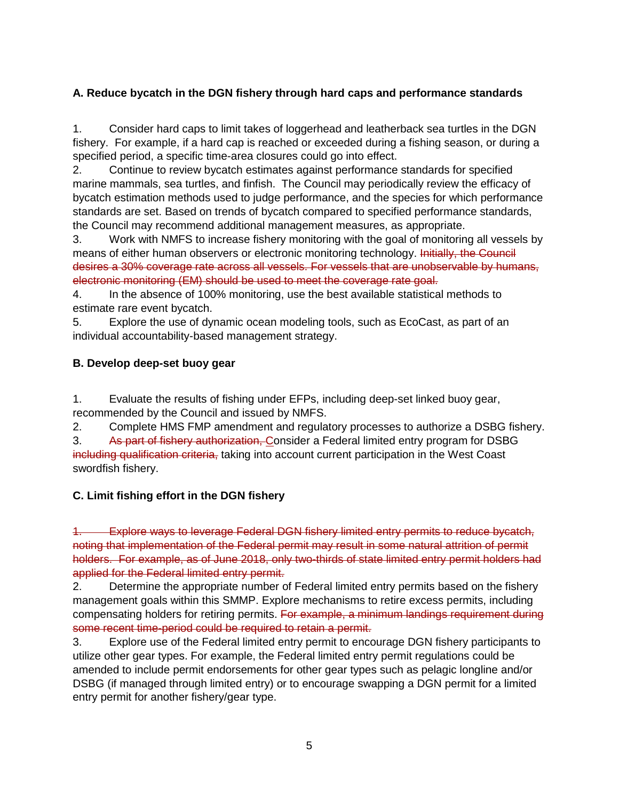## **A. Reduce bycatch in the DGN fishery through hard caps and performance standards**

1. Consider hard caps to limit takes of loggerhead and leatherback sea turtles in the DGN fishery. For example, if a hard cap is reached or exceeded during a fishing season, or during a specified period, a specific time-area closures could go into effect.

2. Continue to review bycatch estimates against performance standards for specified marine mammals, sea turtles, and finfish. The Council may periodically review the efficacy of bycatch estimation methods used to judge performance, and the species for which performance standards are set. Based on trends of bycatch compared to specified performance standards, the Council may recommend additional management measures, as appropriate.

3. Work with NMFS to increase fishery monitoring with the goal of monitoring all vessels by means of either human observers or electronic monitoring technology. Initially, the Council desires a 30% coverage rate across all vessels. For vessels that are unobservable by humans, electronic monitoring (EM) should be used to meet the coverage rate goal.

4. In the absence of 100% monitoring, use the best available statistical methods to estimate rare event bycatch.

5. Explore the use of dynamic ocean modeling tools, such as EcoCast, as part of an individual accountability-based management strategy.

## **B. Develop deep-set buoy gear**

1. Evaluate the results of fishing under EFPs, including deep-set linked buoy gear, recommended by the Council and issued by NMFS.

2. Complete HMS FMP amendment and regulatory processes to authorize a DSBG fishery.

3. As part of fishery authorization, Consider a Federal limited entry program for DSBG including qualification criteria, taking into account current participation in the West Coast swordfish fishery.

## **C. Limit fishing effort in the DGN fishery**

Explore ways to leverage Federal DGN fishery limited entry permits to reduce bycatch, noting that implementation of the Federal permit may result in some natural attrition of permit holders. For example, as of June 2018, only two-thirds of state limited entry permit holders had applied for the Federal limited entry permit.

2. Determine the appropriate number of Federal limited entry permits based on the fishery management goals within this SMMP. Explore mechanisms to retire excess permits, including compensating holders for retiring permits. For example, a minimum landings requirement during some recent time-period could be required to retain a permit.

3. Explore use of the Federal limited entry permit to encourage DGN fishery participants to utilize other gear types. For example, the Federal limited entry permit regulations could be amended to include permit endorsements for other gear types such as pelagic longline and/or DSBG (if managed through limited entry) or to encourage swapping a DGN permit for a limited entry permit for another fishery/gear type.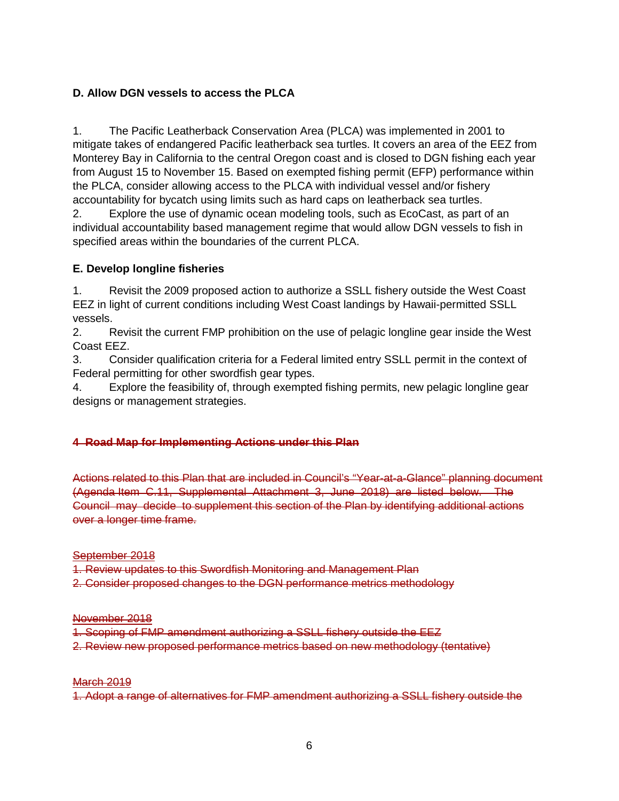#### **D. Allow DGN vessels to access the PLCA**

1. The Pacific Leatherback Conservation Area (PLCA) was implemented in 2001 to mitigate takes of endangered Pacific leatherback sea turtles. It covers an area of the EEZ from Monterey Bay in California to the central Oregon coast and is closed to DGN fishing each year from August 15 to November 15. Based on exempted fishing permit (EFP) performance within the PLCA, consider allowing access to the PLCA with individual vessel and/or fishery accountability for bycatch using limits such as hard caps on leatherback sea turtles.

2. Explore the use of dynamic ocean modeling tools, such as EcoCast, as part of an individual accountability based management regime that would allow DGN vessels to fish in specified areas within the boundaries of the current PLCA.

#### **E. Develop longline fisheries**

1. Revisit the 2009 proposed action to authorize a SSLL fishery outside the West Coast EEZ in light of current conditions including West Coast landings by Hawaii-permitted SSLL vessels.

2. Revisit the current FMP prohibition on the use of pelagic longline gear inside the West Coast EEZ.

3. Consider qualification criteria for a Federal limited entry SSLL permit in the context of Federal permitting for other swordfish gear types.

4. Explore the feasibility of, through exempted fishing permits, new pelagic longline gear designs or management strategies.

#### **4 Road Map for Implementing Actions under this Plan**

Actions related to this Plan that are included in Council's "Year-at-a-Glance" planning document (Agenda Item C.11, Supplemental Attachment 3, June 2018) are listed below. The Council may decide to supplement this section of the Plan by identifying additional actions over a longer time frame.

#### September 2018

1. Review updates to this Swordfish Monitoring and Management Plan

2. Consider proposed changes to the DGN performance metrics methodology

#### November 2018

- 1. Scoping of FMP amendment authorizing a SSLL fishery outside the EEZ
- 2. Review new proposed performance metrics based on new methodology (tentative)

#### **March 2019**

1. Adopt a range of alternatives for FMP amendment authorizing a SSLL fishery outside the